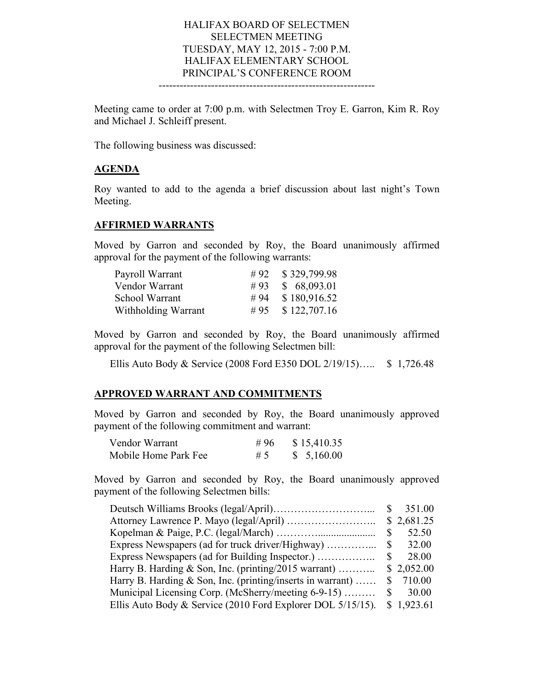#### HALIFAX BOARD OF SELECTMEN SELECTMEN MEETING TUESDAY, MAY 12, 2015 - 7:00 P.M. HALIFAX ELEMENTARY SCHOOL PRINCIPAL'S CONFERENCE ROOM --------------------------------------------------------------

Meeting came to order at 7:00 p.m. with Selectmen Troy E. Garron, Kim R. Roy and Michael J. Schleiff present.

The following business was discussed:

## **AGENDA**

Roy wanted to add to the agenda a brief discussion about last night's Town Meeting.

#### **AFFIRMED WARRANTS**

Moved by Garron and seconded by Roy, the Board unanimously affirmed approval for the payment of the following warrants:

| Payroll Warrant     |     | #92 $$329,799.98$ |
|---------------------|-----|-------------------|
| Vendor Warrant      | #93 | \$68,093.01       |
| School Warrant      | #94 | \$180,916.52      |
| Withholding Warrant | #95 | \$122,707.16      |

Moved by Garron and seconded by Roy, the Board unanimously affirmed approval for the payment of the following Selectmen bill:

Ellis Auto Body & Service (2008 Ford E350 DOL 2/19/15)….. \$ 1,726.48

#### **APPROVED WARRANT AND COMMITMENTS**

Moved by Garron and seconded by Roy, the Board unanimously approved payment of the following commitment and warrant:

| Vendor Warrant       | #96 | \$15,410.35 |
|----------------------|-----|-------------|
| Mobile Home Park Fee | #5  | \$5,160.00  |

Moved by Garron and seconded by Roy, the Board unanimously approved payment of the following Selectmen bills:

|                                                             |    | 351.00     |
|-------------------------------------------------------------|----|------------|
|                                                             |    | \$2,681.25 |
|                                                             |    | 52.50      |
|                                                             | S  | 32.00      |
| Express Newspapers (ad for Building Inspector.)             |    | 28.00      |
| Harry B. Harding & Son, Inc. (printing/2015 warrant)        |    | \$2,052.00 |
| Harry B. Harding & Son, Inc. (printing/inserts in warrant)  |    | \$710.00   |
| Municipal Licensing Corp. (McSherry/meeting 6-9-15)         | S. | 30.00      |
| Ellis Auto Body & Service (2010 Ford Explorer DOL 5/15/15). |    | \$1,923.61 |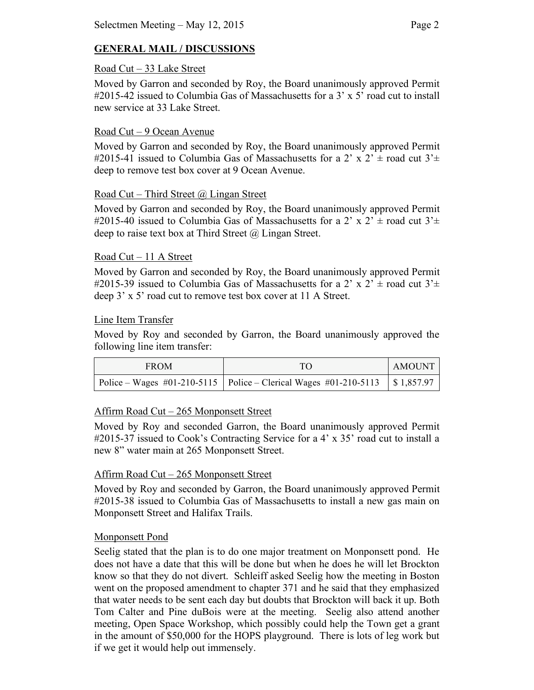# **GENERAL MAIL / DISCUSSIONS**

### Road Cut – 33 Lake Street

Moved by Garron and seconded by Roy, the Board unanimously approved Permit #2015-42 issued to Columbia Gas of Massachusetts for a 3' x 5' road cut to install new service at 33 Lake Street.

## Road Cut – 9 Ocean Avenue

Moved by Garron and seconded by Roy, the Board unanimously approved Permit #2015-41 issued to Columbia Gas of Massachusetts for a 2' x 2'  $\pm$  road cut 3' $\pm$ deep to remove test box cover at 9 Ocean Avenue.

### Road Cut – Third Street @ Lingan Street

Moved by Garron and seconded by Roy, the Board unanimously approved Permit #2015-40 issued to Columbia Gas of Massachusetts for a 2' x 2'  $\pm$  road cut 3' $\pm$ deep to raise text box at Third Street @ Lingan Street.

### Road Cut – 11 A Street

Moved by Garron and seconded by Roy, the Board unanimously approved Permit #2015-39 issued to Columbia Gas of Massachusetts for a 2' x 2'  $\pm$  road cut 3' $\pm$ deep 3' x 5' road cut to remove test box cover at 11 A Street.

### Line Item Transfer

Moved by Roy and seconded by Garron, the Board unanimously approved the following line item transfer:

| <b>FROM</b> | TO                                                                              | <b>AMOUNT</b> |
|-------------|---------------------------------------------------------------------------------|---------------|
|             | Police – Wages #01-210-5115   Police – Clerical Wages #01-210-5113   \$1,857.97 |               |

# Affirm Road Cut – 265 Monponsett Street

Moved by Roy and seconded Garron, the Board unanimously approved Permit #2015-37 issued to Cook's Contracting Service for a 4' x 35' road cut to install a new 8" water main at 265 Monponsett Street.

# Affirm Road Cut – 265 Monponsett Street

Moved by Roy and seconded by Garron, the Board unanimously approved Permit #2015-38 issued to Columbia Gas of Massachusetts to install a new gas main on Monponsett Street and Halifax Trails.

# Monponsett Pond

Seelig stated that the plan is to do one major treatment on Monponsett pond. He does not have a date that this will be done but when he does he will let Brockton know so that they do not divert. Schleiff asked Seelig how the meeting in Boston went on the proposed amendment to chapter 371 and he said that they emphasized that water needs to be sent each day but doubts that Brockton will back it up. Both Tom Calter and Pine duBois were at the meeting. Seelig also attend another meeting, Open Space Workshop, which possibly could help the Town get a grant in the amount of \$50,000 for the HOPS playground. There is lots of leg work but if we get it would help out immensely.